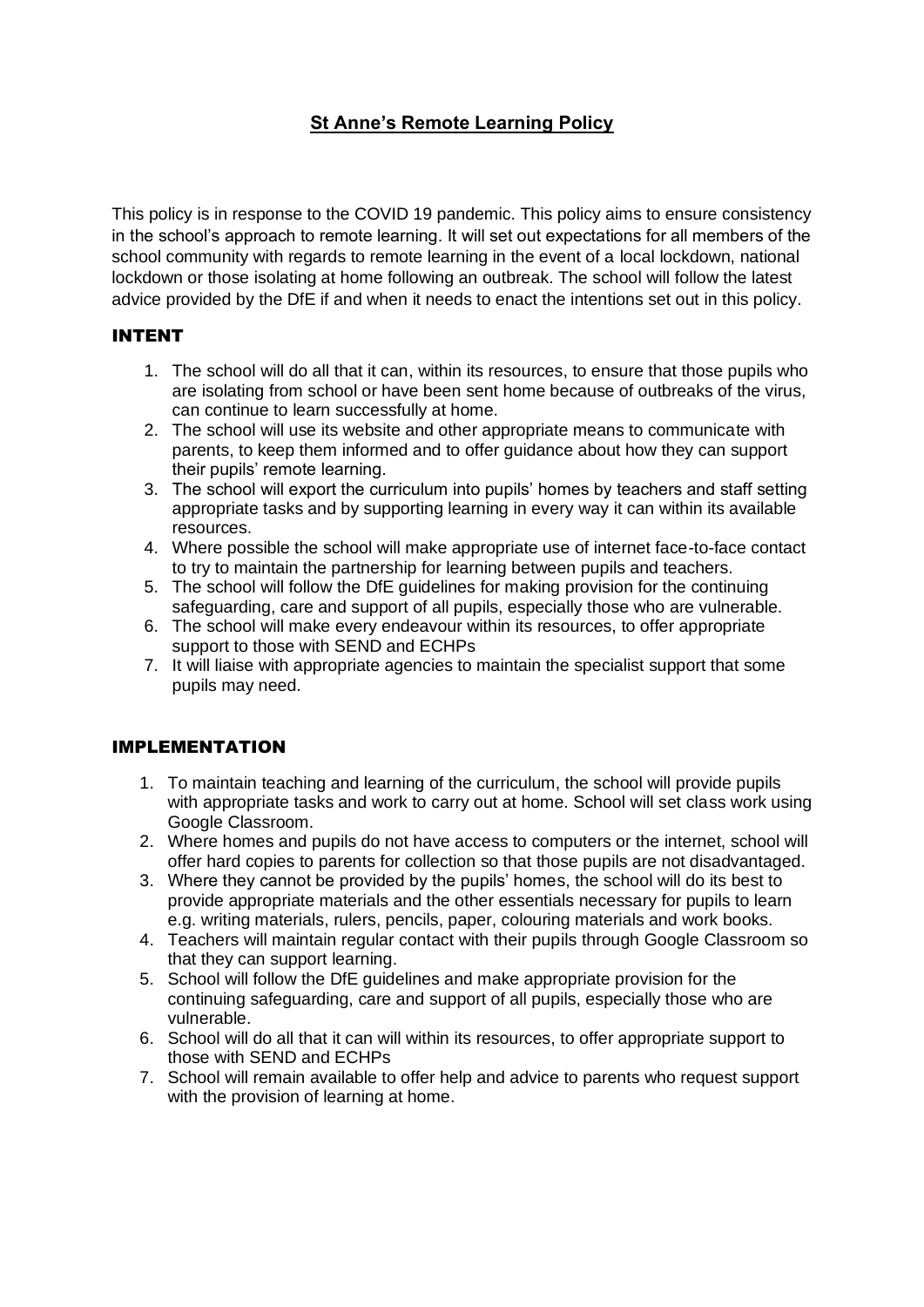# **St Anne's Remote Learning Policy**

This policy is in response to the COVID 19 pandemic. This policy aims to ensure consistency in the school's approach to remote learning. It will set out expectations for all members of the school community with regards to remote learning in the event of a local lockdown, national lockdown or those isolating at home following an outbreak. The school will follow the latest advice provided by the DfE if and when it needs to enact the intentions set out in this policy.

# INTENT

- 1. The school will do all that it can, within its resources, to ensure that those pupils who are isolating from school or have been sent home because of outbreaks of the virus, can continue to learn successfully at home.
- 2. The school will use its website and other appropriate means to communicate with parents, to keep them informed and to offer guidance about how they can support their pupils' remote learning.
- 3. The school will export the curriculum into pupils' homes by teachers and staff setting appropriate tasks and by supporting learning in every way it can within its available resources.
- 4. Where possible the school will make appropriate use of internet face-to-face contact to try to maintain the partnership for learning between pupils and teachers.
- 5. The school will follow the DfE guidelines for making provision for the continuing safeguarding, care and support of all pupils, especially those who are vulnerable.
- 6. The school will make every endeavour within its resources, to offer appropriate support to those with SEND and ECHPs
- 7. It will liaise with appropriate agencies to maintain the specialist support that some pupils may need.

#### IMPLEMENTATION

- 1. To maintain teaching and learning of the curriculum, the school will provide pupils with appropriate tasks and work to carry out at home. School will set class work using Google Classroom.
- 2. Where homes and pupils do not have access to computers or the internet, school will offer hard copies to parents for collection so that those pupils are not disadvantaged.
- 3. Where they cannot be provided by the pupils' homes, the school will do its best to provide appropriate materials and the other essentials necessary for pupils to learn e.g. writing materials, rulers, pencils, paper, colouring materials and work books.
- 4. Teachers will maintain regular contact with their pupils through Google Classroom so that they can support learning.
- 5. School will follow the DfE guidelines and make appropriate provision for the continuing safeguarding, care and support of all pupils, especially those who are vulnerable.
- 6. School will do all that it can will within its resources, to offer appropriate support to those with SEND and ECHPs
- 7. School will remain available to offer help and advice to parents who request support with the provision of learning at home.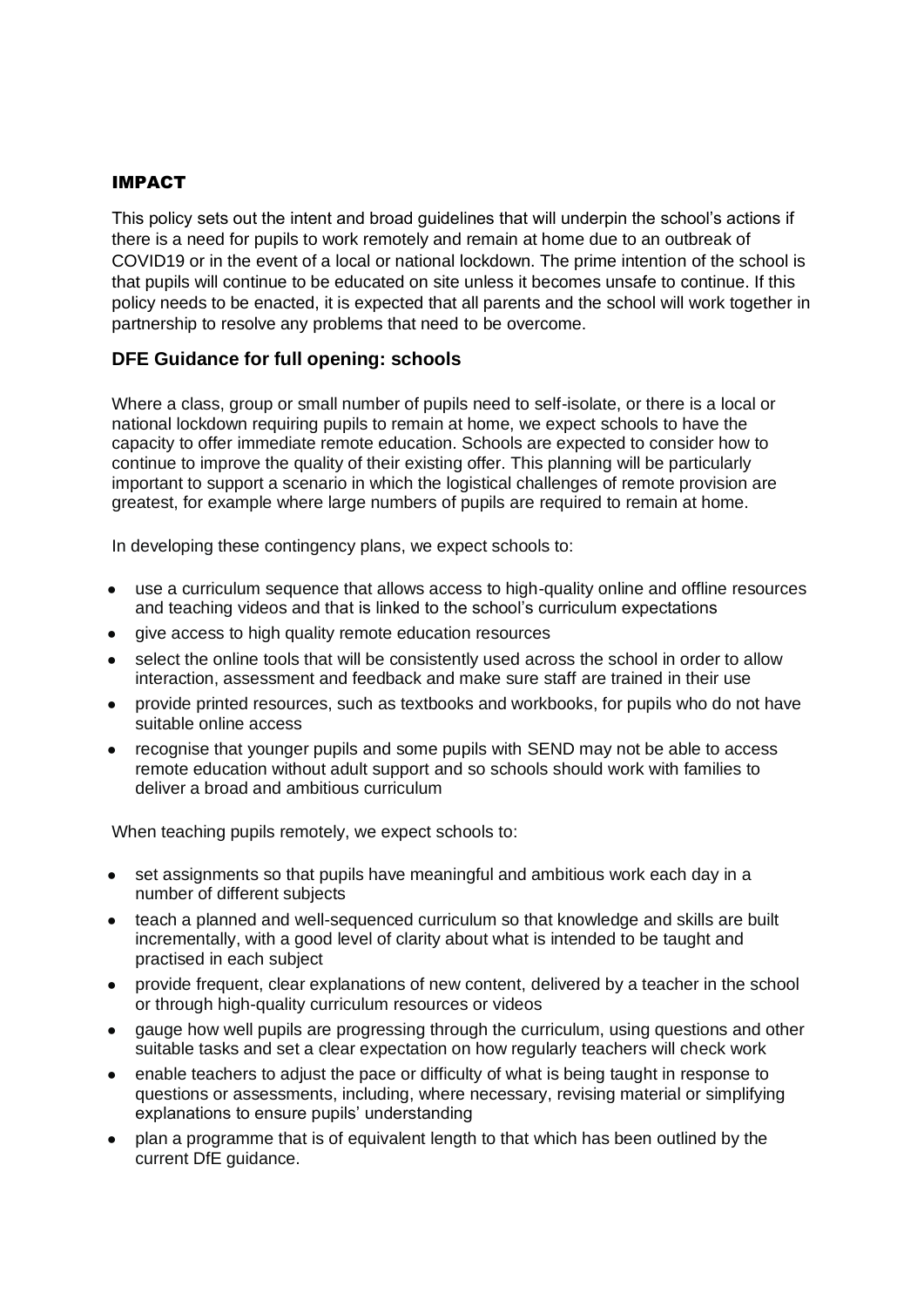#### IMPACT

This policy sets out the intent and broad guidelines that will underpin the school's actions if there is a need for pupils to work remotely and remain at home due to an outbreak of COVID19 or in the event of a local or national lockdown. The prime intention of the school is that pupils will continue to be educated on site unless it becomes unsafe to continue. If this policy needs to be enacted, it is expected that all parents and the school will work together in partnership to resolve any problems that need to be overcome.

# **DFE Guidance for full opening: schools**

Where a class, group or small number of pupils need to self-isolate, or there is a local or national lockdown requiring pupils to remain at home, we expect schools to have the capacity to offer immediate remote education. Schools are expected to consider how to continue to improve the quality of their existing offer. This planning will be particularly important to support a scenario in which the logistical challenges of remote provision are greatest, for example where large numbers of pupils are required to remain at home.

In developing these contingency plans, we expect schools to:

- use a curriculum sequence that allows access to high-quality online and offline resources and teaching videos and that is linked to the school's curriculum expectations
- give access to high quality remote education resources
- select the online tools that will be consistently used across the school in order to allow interaction, assessment and feedback and make sure staff are trained in their use
- provide printed resources, such as textbooks and workbooks, for pupils who do not have suitable online access
- recognise that younger pupils and some pupils with SEND may not be able to access remote education without adult support and so schools should work with families to deliver a broad and ambitious curriculum

When teaching pupils remotely, we expect schools to:

- set assignments so that pupils have meaningful and ambitious work each day in a number of different subjects
- teach a planned and well-sequenced curriculum so that knowledge and skills are built incrementally, with a good level of clarity about what is intended to be taught and practised in each subject
- provide frequent, clear explanations of new content, delivered by a teacher in the school or through high-quality curriculum resources or videos
- gauge how well pupils are progressing through the curriculum, using questions and other suitable tasks and set a clear expectation on how regularly teachers will check work
- enable teachers to adjust the pace or difficulty of what is being taught in response to questions or assessments, including, where necessary, revising material or simplifying explanations to ensure pupils' understanding
- plan a programme that is of equivalent length to that which has been outlined by the current DfE guidance.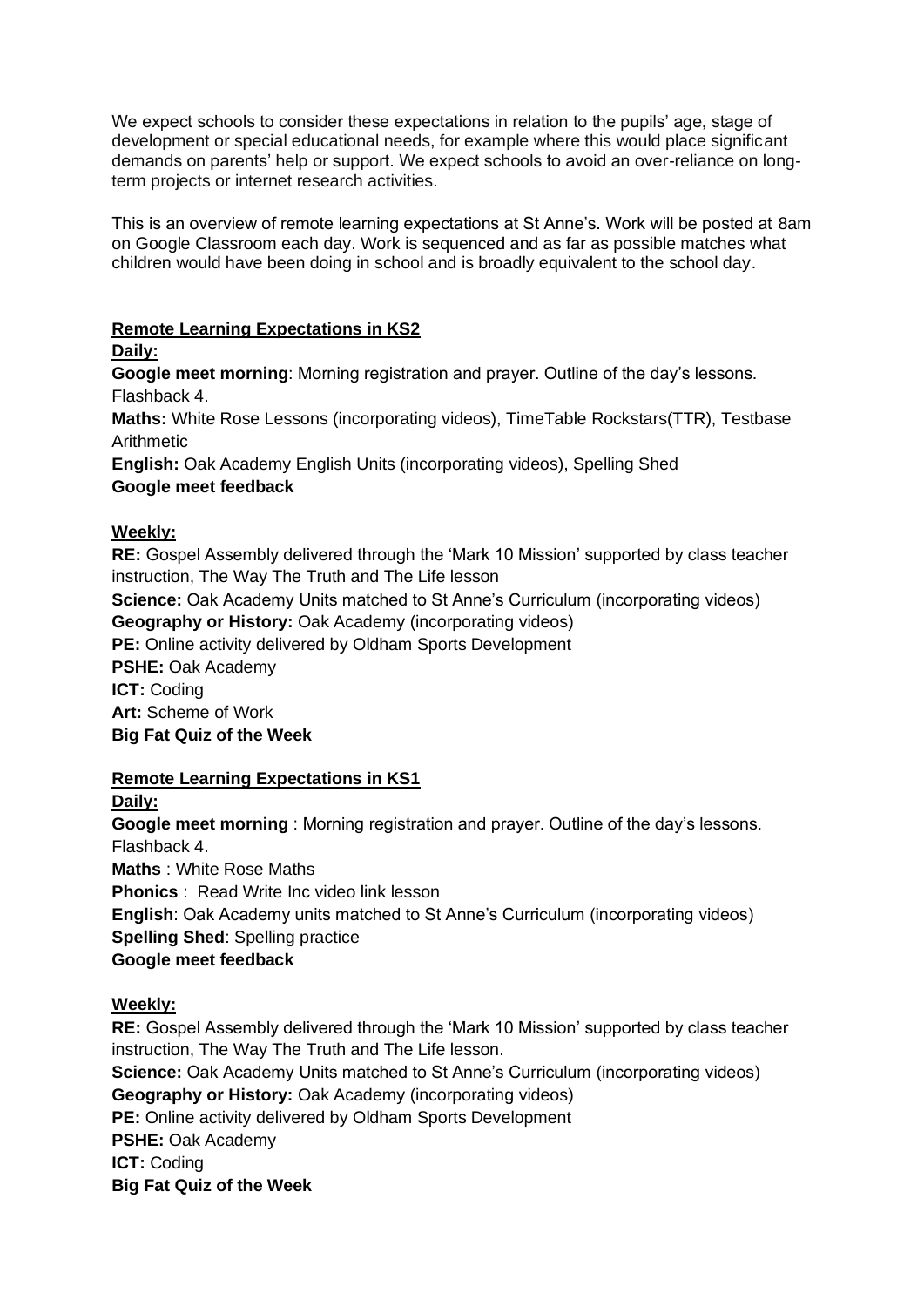We expect schools to consider these expectations in relation to the pupils' age, stage of development or special educational needs, for example where this would place significant demands on parents' help or support. We expect schools to avoid an over-reliance on longterm projects or internet research activities.

This is an overview of remote learning expectations at St Anne's. Work will be posted at 8am on Google Classroom each day. Work is sequenced and as far as possible matches what children would have been doing in school and is broadly equivalent to the school day.

#### **Remote Learning Expectations in KS2**

# **Daily:**

**Google meet morning**: Morning registration and prayer. Outline of the day's lessons. Flashback 4.

**Maths:** White Rose Lessons (incorporating videos), TimeTable Rockstars(TTR), Testbase Arithmetic

**English:** Oak Academy English Units (incorporating videos), Spelling Shed **Google meet feedback**

# **Weekly:**

**RE:** Gospel Assembly delivered through the 'Mark 10 Mission' supported by class teacher instruction, The Way The Truth and The Life lesson

**Science:** Oak Academy Units matched to St Anne's Curriculum (incorporating videos)

**Geography or History:** Oak Academy (incorporating videos)

**PE:** Online activity delivered by Oldham Sports Development

**PSHE:** Oak Academy

**ICT:** Coding **Art:** Scheme of Work

**Big Fat Quiz of the Week** 

# **Remote Learning Expectations in KS1**

# **Daily:**

**Google meet morning** : Morning registration and prayer. Outline of the day's lessons. Flashback 4. **Maths** : White Rose Maths **Phonics** : Read Write Inc video link lesson **English**: Oak Academy units matched to St Anne's Curriculum (incorporating videos) **Spelling Shed**: Spelling practice **Google meet feedback**

# **Weekly:**

**RE:** Gospel Assembly delivered through the 'Mark 10 Mission' supported by class teacher instruction, The Way The Truth and The Life lesson.

**Science:** Oak Academy Units matched to St Anne's Curriculum (incorporating videos) **Geography or History:** Oak Academy (incorporating videos)

**PE:** Online activity delivered by Oldham Sports Development

**PSHE:** Oak Academy

**ICT:** Coding

**Big Fat Quiz of the Week**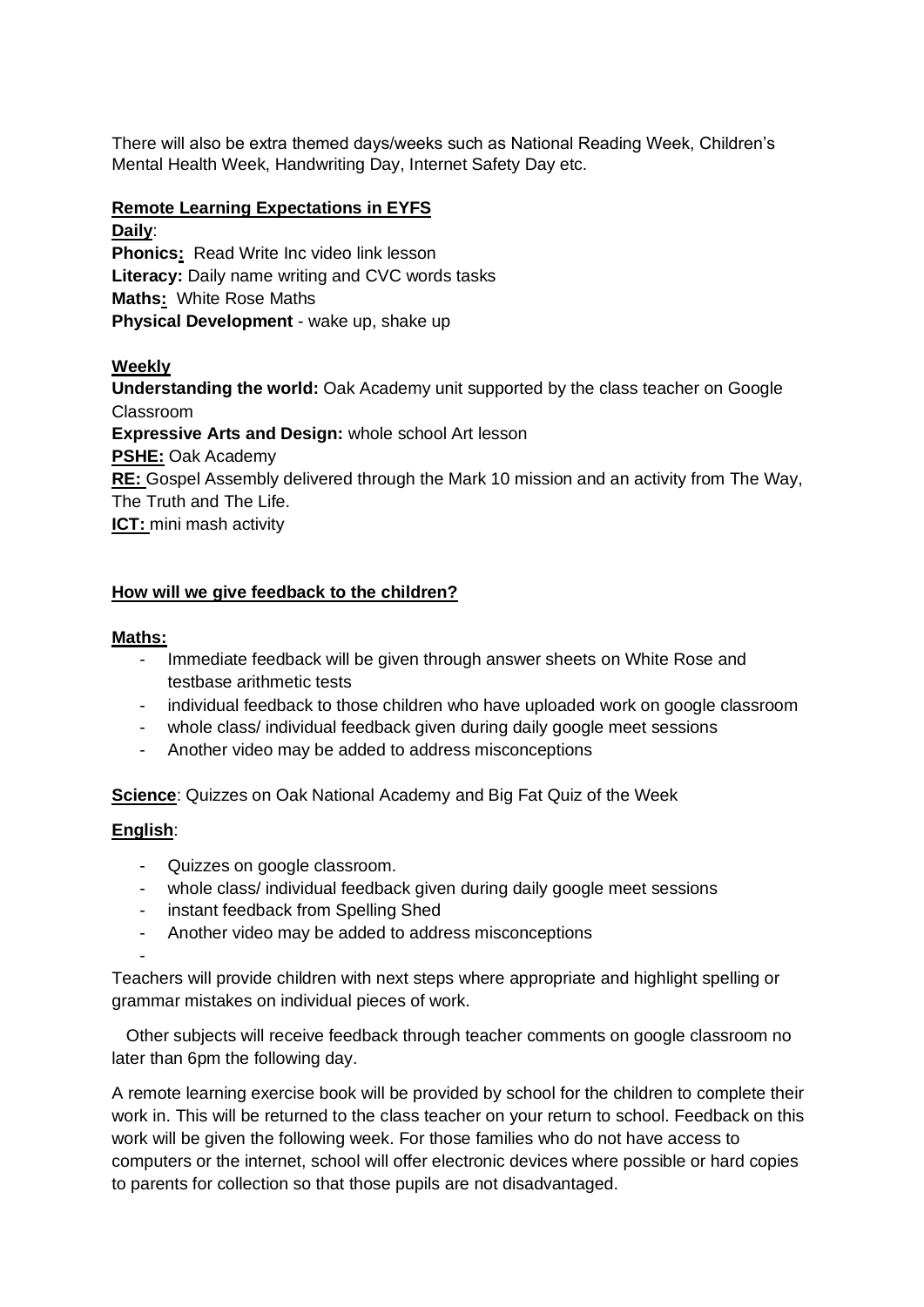There will also be extra themed days/weeks such as National Reading Week, Children's Mental Health Week, Handwriting Day, Internet Safety Day etc.

# **Remote Learning Expectations in EYFS**

**Daily**: **Phonics:** Read Write Inc video link lesson **Literacy:** Daily name writing and CVC words tasks **Maths:** White Rose Maths **Physical Development** - wake up, shake up

# **Weekly**

**Understanding the world:** Oak Academy unit supported by the class teacher on Google Classroom **Expressive Arts and Design:** whole school Art lesson **PSHE:** Oak Academy **RE:** Gospel Assembly delivered through the Mark 10 mission and an activity from The Way, The Truth and The Life. **ICT:** mini mash activity

# **How will we give feedback to the children?**

#### **Maths:**

- Immediate feedback will be given through answer sheets on White Rose and testbase arithmetic tests
- individual feedback to those children who have uploaded work on google classroom
- whole class/ individual feedback given during daily google meet sessions
- Another video may be added to address misconceptions

**Science**: Quizzes on Oak National Academy and Big Fat Quiz of the Week

# **English**:

- Quizzes on google classroom.
- whole class/ individual feedback given during daily google meet sessions
- instant feedback from Spelling Shed
- Another video may be added to address misconceptions

-

Teachers will provide children with next steps where appropriate and highlight spelling or grammar mistakes on individual pieces of work.

 Other subjects will receive feedback through teacher comments on google classroom no later than 6pm the following day.

A remote learning exercise book will be provided by school for the children to complete their work in. This will be returned to the class teacher on your return to school. Feedback on this work will be given the following week. For those families who do not have access to computers or the internet, school will offer electronic devices where possible or hard copies to parents for collection so that those pupils are not disadvantaged.